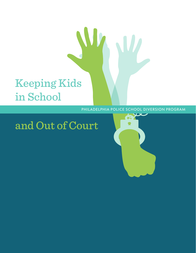# Keeping Kids in School

#### PHILADELPHIA POLICE SCHOOL DIVERSION PROGRAM

W

## and Out of Court

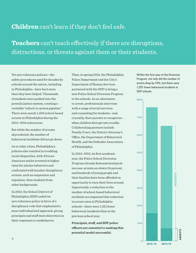## **Children** can't learn if they don't feel safe.

**Teachers** can't teach effectively if there are disruptions, distractions, or threats against them or their students.

Yet zero tolerance policies—the safety procedures used for decades by schools around the nation, including in Philadelphia—have hurt more than they have helped. Thousands of students were pushed into the juvenile justice system, creating a veritable "school-to-prison pipeline." There were nearly 1,600 school-based arrests in Philadelphia during the 2013–2014 school year.

But while the number of arrests skyrocketed, the number of behavioral incidents did not go down.

As in other cities, Philadelphia's policies also resulted in troubling racial disparities, with African-American males arrested at higher rates for similar behaviors and confronted with harsher disciplinary actions, such as suspension and expulsion, than students from other backgrounds.

In 2012, the School District of Philadelphia (SDP) ended its zero tolerance policy in favor of a disciplinary code that emphasized a more individualized approach, giving principals and staff more discretion in their responses to misbehavior.

Then, in spring 2014, the Philadelphia Police Department and the City's Department of Human Services partnered with the SDP to bring a new Police School Diversion Program to the schools. As an alternative to arrest, professionals intervene with a range of social services and counseling for students—and, crucially, their parents or caregivers when children first get into trouble. Collaborating partners include Family Court, the District Attorney's Office, the Department of Behavioral Health, and the Defender Association of Philadelphia.

In 2014–2015, its first academic year, the Police School Diversion Program already demonstrated great success: arrests are down 54 percent, and hundreds of young people and their families have been afforded an opportunity to turn their lives around. Importantly, a reduction in the number of school-based behavioral incidents accompanied this reduction in arrest rates in Philadelphia schools—there were 1,051 fewer behavioral incidents than in the previous school year.

**Principals, staff, and SDP police officers are essential to making this potential model successful.**

Within the first year of the Diversion Program, not only did the number of arrests drop by 54%, but there were 1,051 fewer behavioral incidents in SDP schools.

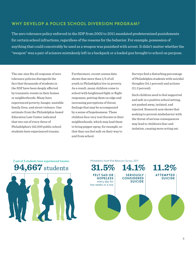### WHY DEVELOP A POLICE SCHOOL DIVERSION PROGRAM?

The zero tolerance policy enforced in the SDP from 2002 to 2011 mandated predetermined punishments for certain school infractions, regardless of the reasons for the behavior. For example, possession of anything that could conceivably be used as a weapon was punished with arrest. It didn't matter whether the "weapon" was a pair of scissors mistakenly left in a backpack or a loaded gun brought to school on purpose.

The one-size fits all response of zero tolerance policies disregards the fact that thousands of students in the SDP have been deeply affected by traumatic events in their homes or neighborhoods. Many have experienced poverty, hunger, unstable family lives, and street violence. One estimate from the Philadelphia-based Education Law Center indicated that two out of every three of Philadelphia's 142,000 public school students have experienced trauma.

Furthermore, recent census data shows that more than 1/3 of all youth in Philadelphia live in poverty. As a result, many children come to school with heightened fight or flight responses, putting them on edge and increasing perceptions of threat, feelings that may be accompanied by a sense of hopelessness. These children face very real threats in their neighborhoods, which may lead them to bring pepper spray, for example, so that they can feel safe on their way to and from school.

Surveys find a disturbing percentage of Philadelphia students with suicidal thoughts (14.1 percent) and actions (11.2 percent).

Such children need to feel supported and safe in a positive school setting, not pushed away, isolated, and rejected. Research now shows that seeking to prevent misbehavior with the threat of serious consequences may lead to children's fear and isolation, causing more acting out.

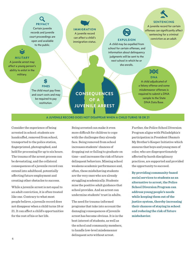## PRIVACY

Certain juvenile records and juvenile court proceedings are open and available to the public.

MILITARY A juvenile arrest may affect a young person's ability to enlist in the military.

> **FINES** The child must pay fines and court costs and may be required to pay restitution.

\$

## IMMIGRATION

A juvenile record can affect a child's immigration status.

A child may be expelled from school for certain offenses, and information about delinquency judgments will be sent to the next school in which he or she enrolls.

## EXPULSION conviction as an adult.

SENTENCING A juvenile record for certain offenses can significantly affect sentencing for a criminal

## **DAIDAI**

DNA A child adjudicated of a felony offense and some misdemeanor offenses is required to submit a DNA sample to the State DNA Data Base.

#### A JUVENILE RECORD DOES NOT DISAPPEAR WHEN A CHILD TURNS 18 OR 21

**CONSEQUENCES** OF A JUVENILE ARREST

Consider the experience of being arrested in school: students are handcuffed, removed from school, transported to the police station, fingerprinted, photographed, and held for processing for up to six hours. The trauma of the arrest process can be devastating, and the collateral consequences of a juvenile record can extend into adulthood, potentially affecting future employment and creating other obstacles to success.

While a juvenile arrest is not equal to an adult conviction, it is often treated like one. Contrary to what most people believe, a juvenile record does not disappear when a child turns 18 or 21. It can affect a child's opportunities for the rest of his or her life.

Being arrested can make it even more difficult for children to cope with the challenges they already face. Being removed from school increases students' chances of dropping out or failing to graduate on time—and increases the risk of future delinquent behaviors. Missing school weakens academic performance and, often, these misbehaving students are the very ones who are already struggling academically. Students miss the positive adult guidance that school provides. And an arrest can undermine students' trust in adults.

The need for trauma-informed programs that take into account the damaging consequences of juvenile arrest has become obvious. It is in the best interest of students, as well as the school and community members, to handle low-level misdemeanor delinquent acts without arrest.

Further, the Police School Diversion Program aligns with Philadelphia's participation in President Obama's My Brother's Keeper Initiative which ensures that boys and young men of color, who are disproportionately affected by harsh disciplinary practices, are supported and provided the opportunity to succeed.

**By providing community-based social services to students as an alternative to arrest, the Police School Diversion Program can address young people's needs while keeping them out of the justice system, thereby increasing their chances of staying in school and reducing the risk of future misbehavior.**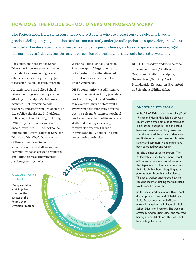### HOW DOES THE POLICE SCHOOL DIVERSION PROGRAM WORK?

The Police School Diversion Program is open to students who are at least ten years old, who have no previous delinquency adjudications and are not currently under juvenile probation supervision, and who are involved in low-level summary or misdemeanor delinquent offenses, such as marijuana possession, fighting, disruptions, graffiti, bullying, threats, or possession of certain items that could be used as weapons.

Participation in the Police School Diversion Program is not available to students accused of high-level offenses, such as drug dealing, gun possession, sexual assault, or arson.

Administering the Police School Diversion Program is a cooperative effort by Philadelphia's child-serving agencies, including principals, teachers, and staff from Philadelphia's 214 public schools; the Philadelphia Police Department (PPD), including 320 SDP police officers and 84 specially trained PPD school police officers; the Juvenile Justice Services Division of the City's Department of Human Services, including social workers and staff, as well as community-based service providers; and Philadelphia's other juvenile justice system agencies.

With the Police School Diversion Program, qualifying students are not arrested, but rather diverted to prevention services to meet their underlying needs.

DHS's community-based Intensive Prevention Services (IPS) providers work with the youth and families to prevent truancy, to steer youth away from delinquency by offering positive role models, improve school performance, enhance life and social skills and in many cases help family relationships through individual/family counseling and constructive activities.

DHS IPS Providers and their service areas include: West/South West Overbrook; South Philadelphia; Germantown/Mt. Airy; North Philadelphia; Kensington/Frankford; and Northeast Philadelphia.

#### ONE STUDENT'S STORY

In the fall of 2014, an academically gifted 17-year-old North Philadelphia girl was caught with a small amount of marijuana in her school backpack—and she could have been arrested for drug possession. Had she entered the justice system as a result, she would have been torn from her family and community, and might have been damaged beyond repair.

But she did not enter the system. The Philadelphia Police Department school officer and a dedicated social worker at the Department of Human Services saw that this girl had been struggling as her parents went through a rocky divorce. The social worker understood how she could be led into thinking that marijuana would ease her anguish.

So the social worker, along with a school district police officer and Philadelphia Police Department school officers, enrolled the girl in the Philadelphia Police School Diversion Program. She was not arrested. And this past June, she received her high-school diploma. This fall, she'll be a college freshman.

#### A COOPERATIVE **EFFORT**

Multiple entities work together to ensure the success of the Police School Diversion Program.

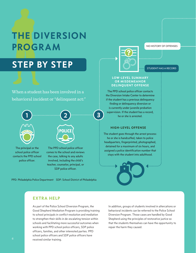## THE DIVERSION PROGRAM

## STEP BY STEP

When a student has been involved in a behavioral incident or "delinquent act:"



The principal or the school police officer contacts the PPD school police officer.

2 **POLICE** 

The PPD school police officer comes to the school and reviews the case, talking to any adults involved, including the child's teacher, counselor, principal, or SDP police officer.

PPD: Philadelphia Police Department SDP: School District of Philadelphia



NO HISTORY OF OFFENSES

STUDENT HAS A RECORD

#### LOW-LEVEL SUMMARY OR MISDEMEANOR DELINQUENT OFFENSE

The PPD school police officer contacts the Diversion Intake Center to determine if the student has a previous delinquency finding or delinquency diversion or is currently under juvenile probation supervision. If the student has a record,<br>
he or she is arrested.

#### HIGH-LEVEL OFFENSE

The student goes through the arrest process: he or she is handcuffed, taken to police headquarters, fingerprinted, photographed, detained for a maximum of six hours, and assigned a police identification number that stays with the student into adulthood.

### EXTRA HELP

As part of the Police School Diversion Program, the Good Shepherd Mediation Program is providing training to school principals in conflict resolution and mediation to strengthen their skills in de-escalating tension within schools and facilitating more successful outcomes when working with PPD school police officers, SDP police officers, families, and other interested parties. PPD school police officers and SDP police officers have received similar training.

In addition, groups of students involved in altercations or behavioral incidents can be referred to the Police School Diversion Program. Those cases are handled by Good Shepherd using the principles of restorative justice so that the students themselves can have the opportunity to repair the harm they caused.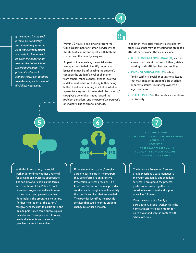*If the student has no such juvenile justice history, the student may return to class while arrangements are made for him or her to be given the opportunity to enter the Police School Diversion Program. The principal and school administrators can continue to make independent school disciplinary decisions.*



4

Within 72 hours, a social worker from the City's Department of Human Services visits the student's home and speaks with both the student and the parent/caregiver.

As part of the interview, the social worker asks questions to help identify underlying issues that may be influencing the student's conduct: the student's level of alienation from others, rebelliousness, friends involved in delinquent behavior, bullying (either being bullied by others or acting as a bully), whether a parent/caregiver is incarcerated, the parent's/ caregiver's general attitudes toward the problem behaviors, and the parent's/caregiver's or student's use of alcohol or drugs.

In addition, the social worker tries to identify other issues that may be affecting the student's attitude or behavior. These can include:

- THE PHYSICAL ENVIRONMENT, such as access to sufficient food and clothing, stable housing, and sufficient heat and cooling.
- PSYCHOLOGICAL ISSUES such as family conflicts; social or educational issues that may impact the student's life at school; or parental issues, like unemployment or legal problems.
- HEALTH ISSUES in the family such as illness or disability.

With this information, the social worker determines whether a referral for prevention services is appropriate. The social worker explains the terms and conditions of the Police School Diversion Program as well as its value to the student and parent/caregiver. Nonetheless, the program is voluntary. If either the student or the parent/ caregiver chooses not to participate, the Philadelphia Police come out to explain the collateral consequences. However, nearly all students and parents/ caregivers accept the services.



5 6 7

**DHS IPS**

**ACADEMIC SUPPORT SOCIAL & EMOTIONAL COMPETENCY BUILDING MENTORING RECREATION WORK READY PROGRAMMING COMMUNITY SERVICE/ENGAGEMENT PARENTAL INVOLVEMENT**

The Intensive Prevention Services provider assigns a case manager to the youth and family and schedules services. Throughout the process, professionals work together to coordinate assessment and support, as well as follow-up.

Over the course of a family's participation, a social worker visits the home at least twice each month for up to a year and stays in contact with school officials.